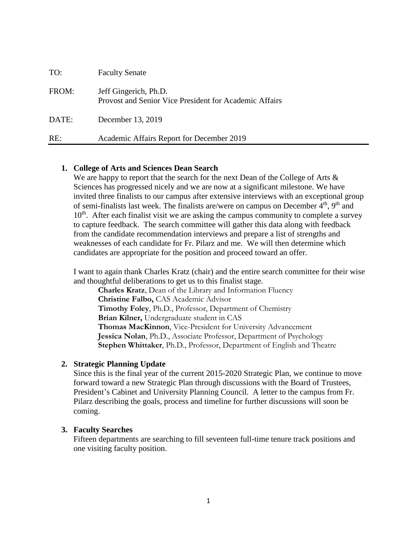| TO:   | <b>Faculty Senate</b>                                                           |
|-------|---------------------------------------------------------------------------------|
| FROM: | Jeff Gingerich, Ph.D.<br>Provost and Senior Vice President for Academic Affairs |
| DATE: | December 13, 2019                                                               |
| RE:   | Academic Affairs Report for December 2019                                       |

### **1. College of Arts and Sciences Dean Search**

We are happy to report that the search for the next Dean of the College of Arts & Sciences has progressed nicely and we are now at a significant milestone. We have invited three finalists to our campus after extensive interviews with an exceptional group of semi-finalists last week. The finalists are/were on campus on December  $4<sup>th</sup>$ ,  $9<sup>th</sup>$  and 10<sup>th</sup>. After each finalist visit we are asking the campus community to complete a survey to capture feedback. The search committee will gather this data along with feedback from the candidate recommendation interviews and prepare a list of strengths and weaknesses of each candidate for Fr. Pilarz and me. We will then determine which candidates are appropriate for the position and proceed toward an offer.

I want to again thank Charles Kratz (chair) and the entire search committee for their wise and thoughtful deliberations to get us to this finalist stage.

**Charles Kratz**, Dean of the Library and Information Fluency **Christine Falbo,** CAS Academic Advisor **Timothy Foley**, Ph.D., Professor, Department of Chemistry **Brian Kilner,** Undergraduate student in CAS **Thomas MacKinnon**, Vice-President for University Advancement **Jessica Nolan**, Ph.D., Associate Professor, Department of Psychology **Stephen Whittaker**, Ph.D., Professor, Department of English and Theatre

### **2. Strategic Planning Update**

Since this is the final year of the current 2015-2020 Strategic Plan, we continue to move forward toward a new Strategic Plan through discussions with the Board of Trustees, President's Cabinet and University Planning Council. A letter to the campus from Fr. Pilarz describing the goals, process and timeline for further discussions will soon be coming.

### **3. Faculty Searches**

Fifteen departments are searching to fill seventeen full-time tenure track positions and one visiting faculty position.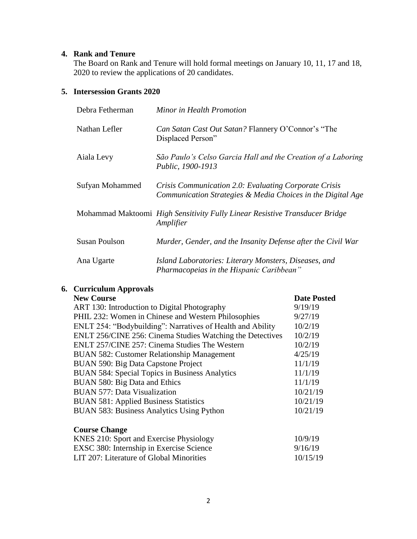## **4. Rank and Tenure**

The Board on Rank and Tenure will hold formal meetings on January 10, 11, 17 and 18, 2020 to review the applications of 20 candidates.

## **5. Intersession Grants 2020**

| Debra Fetherman      | Minor in Health Promotion                                                                                            |
|----------------------|----------------------------------------------------------------------------------------------------------------------|
| Nathan Lefler        | Can Satan Cast Out Satan? Flannery O'Connor's "The<br>Displaced Person"                                              |
| Aiala Levy           | São Paulo's Celso Garcia Hall and the Creation of a Laboring<br>Public, 1900-1913                                    |
| Sufyan Mohammed      | Crisis Communication 2.0: Evaluating Corporate Crisis<br>Communication Strategies & Media Choices in the Digital Age |
|                      | Mohammad Maktoomi High Sensitivity Fully Linear Resistive Transducer Bridge<br>Amplifier                             |
| <b>Susan Poulson</b> | Murder, Gender, and the Insanity Defense after the Civil War                                                         |
| Ana Ugarte           | Island Laboratories: Literary Monsters, Diseases, and<br>Pharmacopeias in the Hispanic Caribbean"                    |

# **6. Curriculum Approvals**

| <b>New Course</b> |
|-------------------|

| <b>New Course</b>                                          | <b>Date Posted</b> |
|------------------------------------------------------------|--------------------|
| ART 130: Introduction to Digital Photography               | 9/19/19            |
| PHIL 232: Women in Chinese and Western Philosophies        | 9/27/19            |
| ENLT 254: "Bodybuilding": Narratives of Health and Ability | 10/2/19            |
| ENLT 256/CINE 256: Cinema Studies Watching the Detectives  | 10/2/19            |
| ENLT 257/CINE 257: Cinema Studies The Western              | 10/2/19            |
| <b>BUAN 582: Customer Relationship Management</b>          | 4/25/19            |
| BUAN 590: Big Data Capstone Project                        | 11/1/19            |
| <b>BUAN 584: Special Topics in Business Analytics</b>      | 11/1/19            |
| BUAN 580: Big Data and Ethics                              | 11/1/19            |
| <b>BUAN 577: Data Visualization</b>                        | 10/21/19           |
| <b>BUAN 581: Applied Business Statistics</b>               | 10/21/19           |
| <b>BUAN 583: Business Analytics Using Python</b>           | 10/21/19           |
| <b>Course Change</b>                                       |                    |
| KNES 210: Sport and Exercise Physiology                    | 10/9/19            |
| EXSC 380: Internship in Exercise Science                   | 9/16/19            |